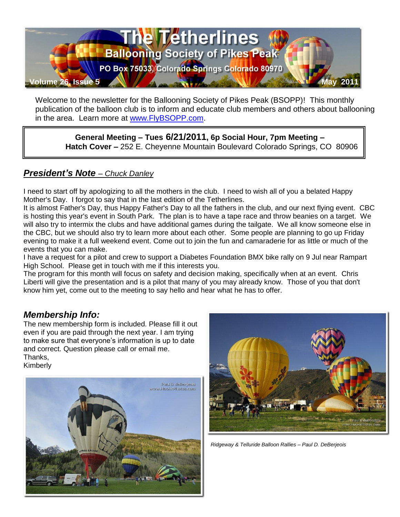

Welcome to the newsletter for the Ballooning Society of Pikes Peak (BSOPP)! This monthly publication of the balloon club is to inform and educate club members and others about ballooning in the area. Learn more at [www.FlyBSOPP.com.](http://www.flybsopp.com/)

**General Meeting – Tues 6/21/2011, 6p Social Hour, 7pm Meeting – Hatch Cover –** 252 E. Cheyenne Mountain Boulevard Colorado Springs, CO 80906

### *President's Note – Chuck Danley*

I need to start off by apologizing to all the mothers in the club. I need to wish all of you a belated Happy Mother's Day. I forgot to say that in the last edition of the Tetherlines.

It is almost Father's Day, thus Happy Father's Day to all the fathers in the club, and our next flying event. CBC is hosting this year's event in South Park. The plan is to have a tape race and throw beanies on a target. We will also try to intermix the clubs and have additional games during the tailgate. We all know someone else in the CBC, but we should also try to learn more about each other. Some people are planning to go up Friday evening to make it a full weekend event. Come out to join the fun and camaraderie for as little or much of the events that you can make.

I have a request for a pilot and crew to support a Diabetes Foundation BMX bike rally on 9 Jul near Rampart High School. Please get in touch with me if this interests you.

The program for this month will focus on safety and decision making, specifically when at an event. Chris Liberti will give the presentation and is a pilot that many of you may already know. Those of you that don't know him yet, come out to the meeting to say hello and hear what he has to offer.

#### *Membership Info:*

The new membership form is included. Please fill it out even if you are paid through the next year. I am trying to make sure that everyone's information is up to date and correct. Question please call or email me. Thanks, Kimberly





*Ridgeway & Telluride Balloon Rallies – Paul D. DeBerjeois*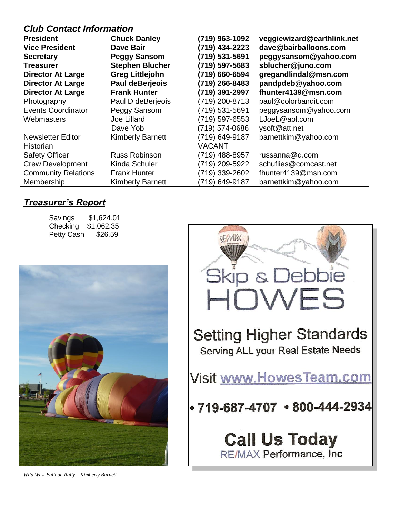### *Club Contact Information*

| <b>President</b>           | <b>Chuck Danley</b>     | (719) 963-1092 | veggiewizard@earthlink.net |
|----------------------------|-------------------------|----------------|----------------------------|
| <b>Vice President</b>      | <b>Dave Bair</b>        |                | dave@bairballoons.com      |
| <b>Secretary</b>           | <b>Peggy Sansom</b>     | (719) 531-5691 | peggysansom@yahoo.com      |
| <b>Treasurer</b>           | <b>Stephen Blucher</b>  | (719) 597-5683 | sblucher@juno.com          |
| <b>Director At Large</b>   | <b>Greg Littlejohn</b>  | (719) 660-6594 | gregandlindal@msn.com      |
| <b>Director At Large</b>   | <b>Paul deBerjeois</b>  | (719) 266-8483 | pandpdeb@yahoo.com         |
| <b>Director At Large</b>   | <b>Frank Hunter</b>     | (719) 391-2997 | fhunter4139@msn.com        |
| Photography                | Paul D deBerjeois       | (719) 200-8713 | paul@colorbandit.com       |
| <b>Events Coordinator</b>  | Peggy Sansom            | (719) 531-5691 | peggysansom@yahoo.com      |
| Webmasters                 | Joe Lillard             | (719) 597-6553 | LJoeL@aol.com              |
|                            | Dave Yob                | (719) 574-0686 | ysoft@att.net              |
| <b>Newsletter Editor</b>   | <b>Kimberly Barnett</b> | (719) 649-9187 | barnettkim@yahoo.com       |
| Historian                  |                         | <b>VACANT</b>  |                            |
| <b>Safety Officer</b>      | <b>Russ Robinson</b>    | (719) 488-8957 | russanna@q.com             |
| <b>Crew Development</b>    | Kinda Schuler           | (719) 209-5922 | schuflies@comcast.net      |
| <b>Community Relations</b> | <b>Frank Hunter</b>     | (719) 339-2602 | fhunter4139@msn.com        |
| Membership                 | <b>Kimberly Barnett</b> | (719) 649-9187 | barnettkim@yahoo.com       |

## *Treasurer's Report*

| Savings           | \$1,624.01 |
|-------------------|------------|
| Checking          | \$1,062.35 |
| <b>Petty Cash</b> | \$26.59    |





*Wild West Balloon Rally – Kimberly Barnett*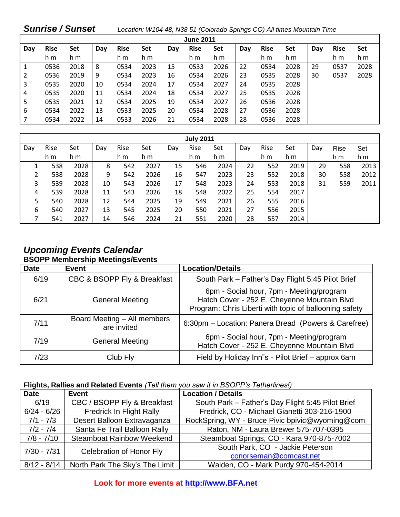| <b>Sunrise / Sunset</b> |             |      |     |             |      |     | Location: W104 48, N38 51 (Colorado Springs CO) All times Mountain Time |      |     |             |      |     |             |            |
|-------------------------|-------------|------|-----|-------------|------|-----|-------------------------------------------------------------------------|------|-----|-------------|------|-----|-------------|------------|
| <b>June 2011</b>        |             |      |     |             |      |     |                                                                         |      |     |             |      |     |             |            |
| Day                     | <b>Rise</b> | Set  | Day | <b>Rise</b> | Set  | Day | <b>Rise</b>                                                             | Set  | Day | <b>Rise</b> | Set  | Day | <b>Rise</b> | <b>Set</b> |
|                         | h m         | h m  |     | h m         | h m  |     | h m                                                                     | h m  |     | h m         | h m  |     | h m         | h m        |
| $\sqrt{1}$              | 0536        | 2018 | 8   | 0534        | 2023 | 15  | 0533                                                                    | 2026 | 22  | 0534        | 2028 | 29  | 0537        | 2028       |
| $\overline{2}$          | 0536        | 2019 | 9   | 0534        | 2023 | 16  | 0534                                                                    | 2026 | 23  | 0535        | 2028 | 30  | 0537        | 2028       |
| 3                       | 0535        | 2020 | 10  | 0534        | 2024 | 17  | 0534                                                                    | 2027 | 24  | 0535        | 2028 |     |             |            |
| 4                       | 0535        | 2020 | 11  | 0534        | 2024 | 18  | 0534                                                                    | 2027 | 25  | 0535        | 2028 |     |             |            |
| 5                       | 0535        | 2021 | 12  | 0534        | 2025 | 19  | 0534                                                                    | 2027 | 26  | 0536        | 2028 |     |             |            |
| 6                       | 0534        | 2022 | 13  | 0533        | 2025 | 20  | 0534                                                                    | 2028 | 27  | 0536        | 2028 |     |             |            |
| 7                       | 0534        | 2022 | 14  | 0533        | 2026 | 21  | 0534                                                                    | 2028 | 28  | 0536        | 2028 |     |             |            |

| <b>July 2011</b> |      |      |     |      |      |     |      |      |     |      |      |     |             |      |
|------------------|------|------|-----|------|------|-----|------|------|-----|------|------|-----|-------------|------|
| Day              | Rise | Set  | Day | Rise | Set  | Day | Rise | Set  | Day | Rise | Set  | Day | <b>Rise</b> | Set  |
|                  | h m  | h m  |     | h m  | h m  |     | h m  | h m  |     | h m  | h m  |     | h m         | h m  |
|                  | 538  | 2028 | 8   | 542  | 2027 | 15  | 546  | 2024 | 22  | 552  | 2019 | 29  | 558         | 2013 |
| 2                | 538  | 2028 | 9   | 542  | 2026 | 16  | 547  | 2023 | 23  | 552  | 2018 | 30  | 558         | 2012 |
| 3                | 539  | 2028 | 10  | 543  | 2026 | 17  | 548  | 2023 | 24  | 553  | 2018 | 31  | 559         | 2011 |
| 4                | 539  | 2028 | 11  | 543  | 2026 | 18  | 548  | 2022 | 25  | 554  | 2017 |     |             |      |
| 5                | 540  | 2028 | 12  | 544  | 2025 | 19  | 549  | 2021 | 26  | 555  | 2016 |     |             |      |
| 6                | 540  | 2027 | 13  | 545  | 2025 | 20  | 550  | 2021 | 27  | 556  | 2015 |     |             |      |
|                  | 541  | 2027 | 14  | 546  | 2024 | 21  | 551  | 2020 | 28  | 557  | 2014 |     |             |      |

#### *Upcoming Events Calendar*  **BSOPP Membership Meetings/Events**

| <b>Date</b> | <b>Event</b>                               | <b>Location/Details</b>                                                                                                                           |
|-------------|--------------------------------------------|---------------------------------------------------------------------------------------------------------------------------------------------------|
| 6/19        | CBC & BSOPP Fly & Breakfast                | South Park - Father's Day Flight 5:45 Pilot Brief                                                                                                 |
| 6/21        | <b>General Meeting</b>                     | 6pm - Social hour, 7pm - Meeting/program<br>Hatch Cover - 252 E. Cheyenne Mountain Blvd<br>Program: Chris Liberti with topic of ballooning safety |
| 7/11        | Board Meeting - All members<br>are invited | 6:30pm - Location: Panera Bread (Powers & Carefree)                                                                                               |
| 7/19        | <b>General Meeting</b>                     | 6pm - Social hour, 7pm - Meeting/program<br>Hatch Cover - 252 E. Cheyenne Mountain Blvd                                                           |
| 7/23        | Club Fly                                   | Field by Holiday Inn"s - Pilot Brief - approx 6am                                                                                                 |

#### **Flights, Rallies and Related Events** *(Tell them you saw it in BSOPP's Tetherlines!)*

| <b>Date</b>   | <b>Event</b>                                                                    | <b>Location / Details</b>                         |
|---------------|---------------------------------------------------------------------------------|---------------------------------------------------|
| 6/19          | CBC / BSOPP Fly & Breakfast                                                     | South Park - Father's Day Flight 5:45 Pilot Brief |
| $6/24 - 6/26$ | Fredrick, CO - Michael Gianetti 303-216-1900<br><b>Fredrick In Flight Rally</b> |                                                   |
| $7/1 - 7/3$   | Desert Balloon Extravaganza                                                     | RockSpring, WY - Bruce Pivic bpivic@wyoming@com   |
| $7/2 - 7/4$   | Santa Fe Trail Balloon Rally                                                    | Raton, NM - Laura Brewer 575-707-0395             |
| $7/8 - 7/10$  | <b>Steamboat Rainbow Weekend</b>                                                | Steamboat Springs, CO - Kara 970-875-7002         |
| $7/30 - 7/31$ | Celebration of Honor Fly                                                        | South Park, CO - Jackie Peterson                  |
|               |                                                                                 | conorseman@comcast.net                            |
| $8/12 - 8/14$ | North Park The Sky's The Limit                                                  | Walden, CO - Mark Purdy 970-454-2014              |

**Look for more events at [http://www.BFA.net](http://www.bfa.net/)**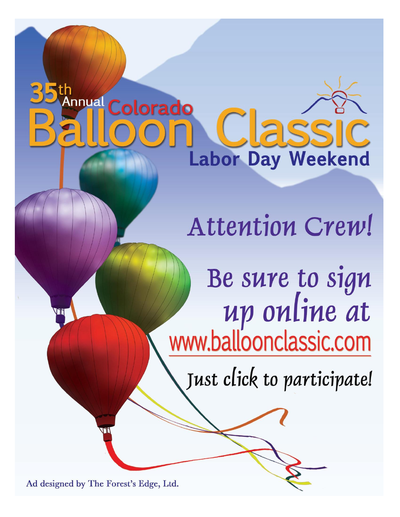# nnual Colorado **ISSI Labor Day Weekend**

Attention Crew!

Be sure to sign<br>up online at<br>www.balloonclassic.com

Just click to participate!

Ad designed by The Forest's Edge, Ltd.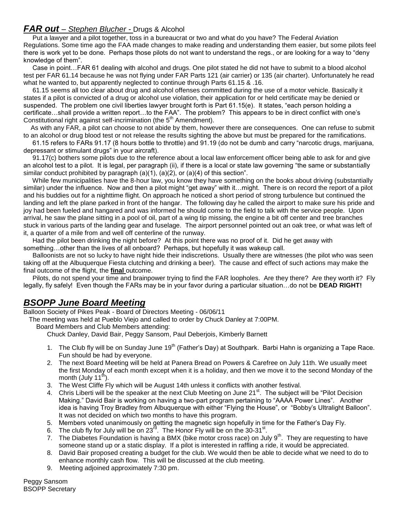#### *FAR out – Stephen Blucher -* Drugs & Alcohol

 Put a lawyer and a pilot together, toss in a bureaucrat or two and what do you have? The Federal Aviation Regulations. Some time ago the FAA made changes to make reading and understanding them easier, but some pilots feel there is work yet to be done. Perhaps those pilots do not want to understand the regs., or are looking for a way to "deny knowledge of them".

 Case in point…FAR 61 dealing with alcohol and drugs. One pilot stated he did not have to submit to a blood alcohol test per FAR 61.14 because he was not flying under FAR Parts 121 (air carrier) or 135 (air charter). Unfortunately he read what he wanted to, but apparently neglected to continue through Parts 61.15 & .16.

 61.15 seems all too clear about drug and alcohol offenses committed during the use of a motor vehicle. Basically it states if a pilot is convicted of a drug or alcohol use violation, their application for or held certificate may be denied or suspended. The problem one civil liberties lawyer brought forth is Part 61.15(e). It states, "each person holding a certificate…shall provide a written report…to the FAA". The problem? This appears to be in direct conflict with one's Constitutional right against self-incrimination (the 5<sup>th</sup> Amendment).

 As with any FAR, a pilot can choose to not abide by them, however there are consequences. One can refuse to submit to an alcohol or drug blood test or not release the results sighting the above but must be prepared for the ramifications.

 61.15 refers to FARs 91.17 (8 hours bottle to throttle) and 91.19 (do not be dumb and carry "narcotic drugs, marijuana, depressant or stimulant drugs" in your aircraft).

 91.17(c) bothers some pilots due to the reference about a local law enforcement officer being able to ask for and give an alcohol test to a pilot. It is legal, per paragraph (ii), if there is a local or state law governing "the same or substantially similar conduct prohibited by paragraph (a)(1), (a)(2), or (a)(4) of this section".

While few municipalities have the 8-hour law, you know they have something on the books about driving (substantially similar) under the influence. Now and then a pilot might "get away" with it…might. There is on record the report of a pilot and his buddies out for a nighttime flight. On approach he noticed a short period of strong turbulence but continued the landing and left the plane parked in front of the hangar. The following day he called the airport to make sure his pride and joy had been fueled and hangared and was informed he should come to the field to talk with the service people. Upon arrival, he saw the plane sitting in a pool of oil, part of a wing tip missing, the engine a bit off center and tree branches stuck in various parts of the landing gear and fuselage. The airport personnel pointed out an oak tree, or what was left of it, a quarter of a mile from and well off centerline of the runway.

 Had the pilot been drinking the night before? At this point there was no proof of it. Did he get away with something…other than the lives of all onboard? Perhaps, but hopefully it was wakeup call.

 Balloonists are not so lucky to have night hide their indiscretions. Usually there are witnesses (the pilot who was seen taking off at the Albuquerque Fiesta clutching and drinking a beer). The cause and effect of such actions may make the final outcome of the flight, the **final** outcome.

 Pilots, do not spend your time and brainpower trying to find the FAR loopholes. Are they there? Are they worth it? Fly legally, fly safely! Even though the FARs may be in your favor during a particular situation…do not be **DEAD RIGHT!**

#### *BSOPP June Board Meeting*

Balloon Society of Pikes Peak - Board of Directors Meeting - 06/06/11

The meeting was held at Pueblo Viejo and called to order by Chuck Danley at 7:00PM.

Board Members and Club Members attending:

Chuck Danley, David Bair, Peggy Sansom, Paul Deberjois, Kimberly Barnett

- 1. The Club fly will be on Sunday June 19<sup>th</sup> (Father's Day) at Southpark. Barbi Hahn is organizing a Tape Race. Fun should be had by everyone.
- 2. The next Board Meeting will be held at Panera Bread on Powers & Carefree on July 11th. We usually meet the first Monday of each month except when it is a holiday, and then we move it to the second Monday of the month (July  $11^{th}$ ).
- 3. The West Cliffe Fly which will be August 14th unless it conflicts with another festival.
- 4. Chris Liberti will be the speaker at the next Club Meeting on June 21<sup>st</sup>. The subject will be "Pilot Decision Making." David Bair is working on having a two-part program pertaining to "AAAA Power Lines". Another idea is having Troy Bradley from Albuquerque with either "Flying the House", or "Bobby's Ultralight Balloon". It was not decided on which two months to have this program.
- 5. Members voted unanimously on getting the magnetic sign hopefully in time for the Father's Day Fly.
- 6. The club fly for July will be on  $23^{76}$ . The Honor Fly will be on the 30-31<sup>st</sup>.
- 7. The Diabetes Foundation is having a BMX (bike motor cross race) on July 9<sup>th</sup>. They are requesting to have someone stand up or a static display. If a pilot is interested in raffling a ride, it would be appreciated.
- 8. David Bair proposed creating a budget for the club. We would then be able to decide what we need to do to enhance monthly cash flow. This will be discussed at the club meeting.
- 9. Meeting adjoined approximately 7:30 pm.

Peggy Sansom BSOPP Secretary